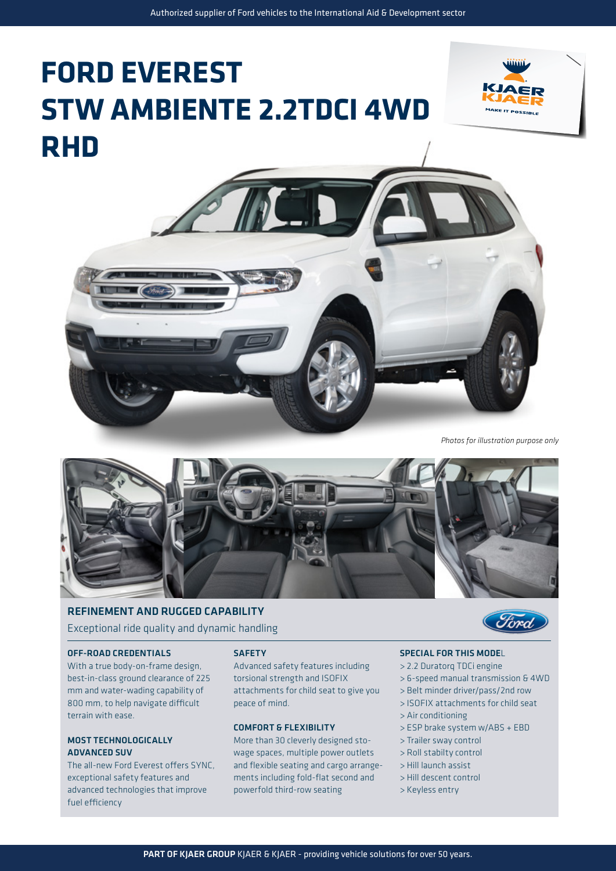# **FORD EVEREST STW AMBIENTE 2.2TDCI 4WD RHD**





*Photos for illustration purpose only*



### REFINEMENT AND RUGGED CAPABILITY Exceptional ride quality and dynamic handling

### OFF-ROAD CREDENTIALS

With a true body-on-frame design, best-in-class ground clearance of 225 mm and water-wading capability of 800 mm, to help navigate difficult terrain with ease.

### MOST TECHNOLOGICALLY ADVANCED SUV

The all-new Ford Everest offers SYNC, exceptional safety features and advanced technologies that improve fuel efficiency

### **SAFETY**

Advanced safety features including torsional strength and ISOFIX attachments for child seat to give you peace of mind.

### COMFORT & FLEXIBILITY

More than 30 cleverly designed stowage spaces, multiple power outlets and flexible seating and cargo arrangements including fold-flat second and powerfold third-row seating



### SPECIAL FOR THIS MODEL

- > 2.2 Duratorq TDCi engine
- > 6-speed manual transmission & 4WD
- > Belt minder driver/pass/2nd row
- > ISOFIX attachments for child seat
- > Air conditioning
- > ESP brake system w/ABS + EBD
- > Trailer sway control
- > Roll stabilty control
- > Hill launch assist
- > Hill descent control
- > Keyless entry